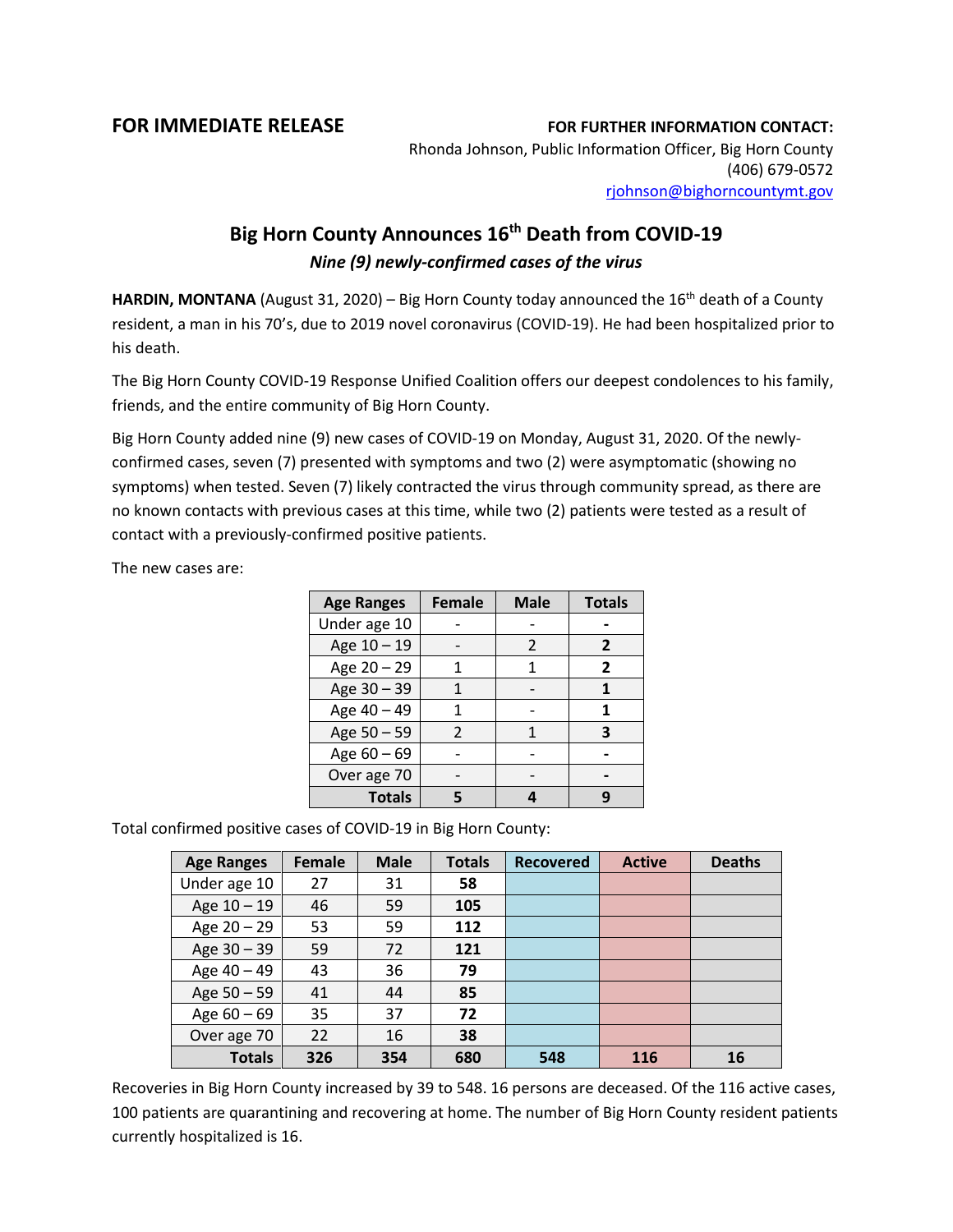## **FOR IMMEDIATE RELEASE FOR FURTHER INFORMATION CONTACT:**

Rhonda Johnson, Public Information Officer, Big Horn County (406) 679-0572 [rjohnson@bighorncountymt.gov](mailto:rjohnson@bighorncountymt.gov)

## **Big Horn County Announces 16th Death from COVID-19** *Nine (9) newly-confirmed cases of the virus*

HARDIN, MONTANA (August 31, 2020) – Big Horn County today announced the 16<sup>th</sup> death of a County resident, a man in his 70's, due to 2019 novel coronavirus (COVID-19). He had been hospitalized prior to his death.

The Big Horn County COVID-19 Response Unified Coalition offers our deepest condolences to his family, friends, and the entire community of Big Horn County.

Big Horn County added nine (9) new cases of COVID-19 on Monday, August 31, 2020. Of the newlyconfirmed cases, seven (7) presented with symptoms and two (2) were asymptomatic (showing no symptoms) when tested. Seven (7) likely contracted the virus through community spread, as there are no known contacts with previous cases at this time, while two (2) patients were tested as a result of contact with a previously-confirmed positive patients.

The new cases are:

| <b>Age Ranges</b> | <b>Female</b> | <b>Male</b> | <b>Totals</b> |  |
|-------------------|---------------|-------------|---------------|--|
| Under age 10      |               |             |               |  |
| Age 10 - 19       |               |             | 2             |  |
| Age 20 - 29       |               |             | 2             |  |
| Age 30 - 39       |               |             |               |  |
| Age 40 - 49       |               |             |               |  |
| Age 50 - 59       | 2             |             | 3             |  |
| Age 60 - 69       |               |             |               |  |
| Over age 70       |               |             |               |  |
| <b>Totals</b>     |               |             |               |  |

Total confirmed positive cases of COVID-19 in Big Horn County:

| <b>Age Ranges</b> | <b>Female</b> | <b>Male</b> | <b>Totals</b> | <b>Recovered</b> | <b>Active</b> | <b>Deaths</b> |
|-------------------|---------------|-------------|---------------|------------------|---------------|---------------|
| Under age 10      | 27            | 31          | 58            |                  |               |               |
| Age $10 - 19$     | 46            | 59          | 105           |                  |               |               |
| Age $20 - 29$     | 53            | 59          | 112           |                  |               |               |
| Age 30 - 39       | 59            | 72          | 121           |                  |               |               |
| Age 40 - 49       | 43            | 36          | 79            |                  |               |               |
| Age $50 - 59$     | 41            | 44          | 85            |                  |               |               |
| Age $60 - 69$     | 35            | 37          | 72            |                  |               |               |
| Over age 70       | 22            | 16          | 38            |                  |               |               |
| <b>Totals</b>     | 326           | 354         | 680           | 548              | 116           | 16            |

Recoveries in Big Horn County increased by 39 to 548. 16 persons are deceased. Of the 116 active cases, 100 patients are quarantining and recovering at home. The number of Big Horn County resident patients currently hospitalized is 16.